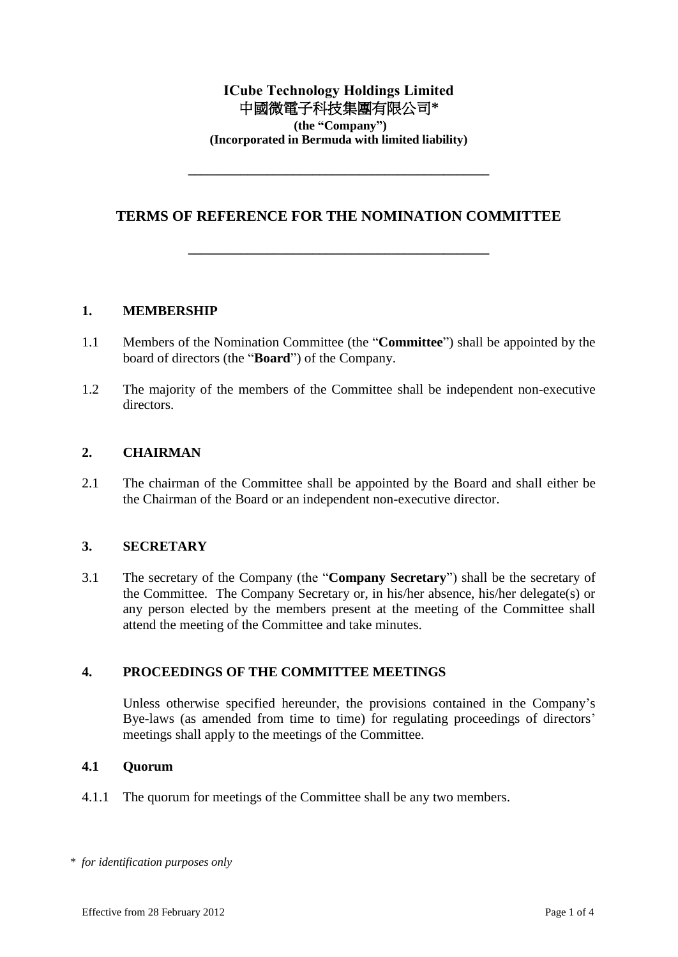# **ICube Technology Holdings Limited** 中國微電子科技集團有限公司**\* (the "Company") (Incorporated in Bermuda with limited liability)**

# **TERMS OF REFERENCE FOR THE NOMINATION COMMITTEE**

**\_\_\_\_\_\_\_\_\_\_\_\_\_\_\_\_\_\_\_\_\_\_\_\_\_\_\_\_\_\_\_\_\_\_\_\_\_\_\_\_\_\_\_\_\_\_**

**\_\_\_\_\_\_\_\_\_\_\_\_\_\_\_\_\_\_\_\_\_\_\_\_\_\_\_\_\_\_\_\_\_\_\_\_\_\_\_\_\_\_\_\_\_\_**

#### **1. MEMBERSHIP**

- 1.1 Members of the Nomination Committee (the "**Committee**") shall be appointed by the board of directors (the "**Board**") of the Company.
- 1.2 The majority of the members of the Committee shall be independent non-executive directors.

#### **2. CHAIRMAN**

2.1 The chairman of the Committee shall be appointed by the Board and shall either be the Chairman of the Board or an independent non-executive director.

### **3. SECRETARY**

3.1 The secretary of the Company (the "**Company Secretary**") shall be the secretary of the Committee. The Company Secretary or, in his/her absence, his/her delegate(s) or any person elected by the members present at the meeting of the Committee shall attend the meeting of the Committee and take minutes.

### **4. PROCEEDINGS OF THE COMMITTEE MEETINGS**

Unless otherwise specified hereunder, the provisions contained in the Company's Bye-laws (as amended from time to time) for regulating proceedings of directors' meetings shall apply to the meetings of the Committee.

#### **4.1 Quorum**

4.1.1 The quorum for meetings of the Committee shall be any two members.

*<sup>\*</sup> for identification purposes only*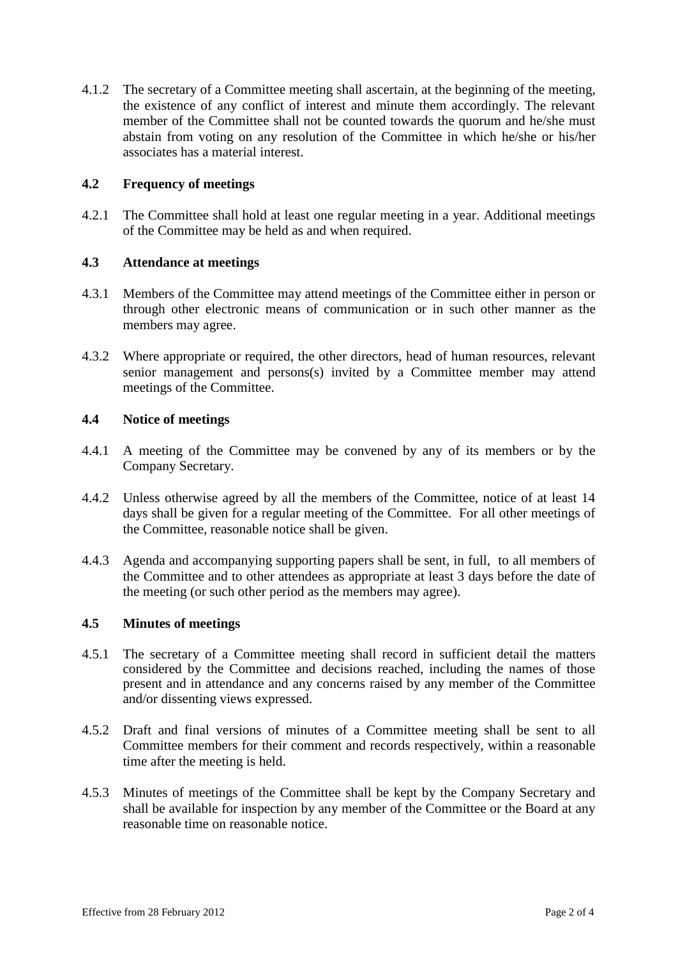4.1.2 The secretary of a Committee meeting shall ascertain, at the beginning of the meeting, the existence of any conflict of interest and minute them accordingly. The relevant member of the Committee shall not be counted towards the quorum and he/she must abstain from voting on any resolution of the Committee in which he/she or his/her associates has a material interest.

## **4.2 Frequency of meetings**

4.2.1 The Committee shall hold at least one regular meeting in a year. Additional meetings of the Committee may be held as and when required.

### **4.3 Attendance at meetings**

- 4.3.1 Members of the Committee may attend meetings of the Committee either in person or through other electronic means of communication or in such other manner as the members may agree.
- 4.3.2 Where appropriate or required, the other directors, head of human resources, relevant senior management and persons(s) invited by a Committee member may attend meetings of the Committee.

### **4.4 Notice of meetings**

- 4.4.1 A meeting of the Committee may be convened by any of its members or by the Company Secretary.
- 4.4.2 Unless otherwise agreed by all the members of the Committee, notice of at least 14 days shall be given for a regular meeting of the Committee. For all other meetings of the Committee, reasonable notice shall be given.
- 4.4.3 Agenda and accompanying supporting papers shall be sent, in full, to all members of the Committee and to other attendees as appropriate at least 3 days before the date of the meeting (or such other period as the members may agree).

### **4.5 Minutes of meetings**

- 4.5.1 The secretary of a Committee meeting shall record in sufficient detail the matters considered by the Committee and decisions reached, including the names of those present and in attendance and any concerns raised by any member of the Committee and/or dissenting views expressed.
- 4.5.2 Draft and final versions of minutes of a Committee meeting shall be sent to all Committee members for their comment and records respectively, within a reasonable time after the meeting is held.
- 4.5.3 Minutes of meetings of the Committee shall be kept by the Company Secretary and shall be available for inspection by any member of the Committee or the Board at any reasonable time on reasonable notice.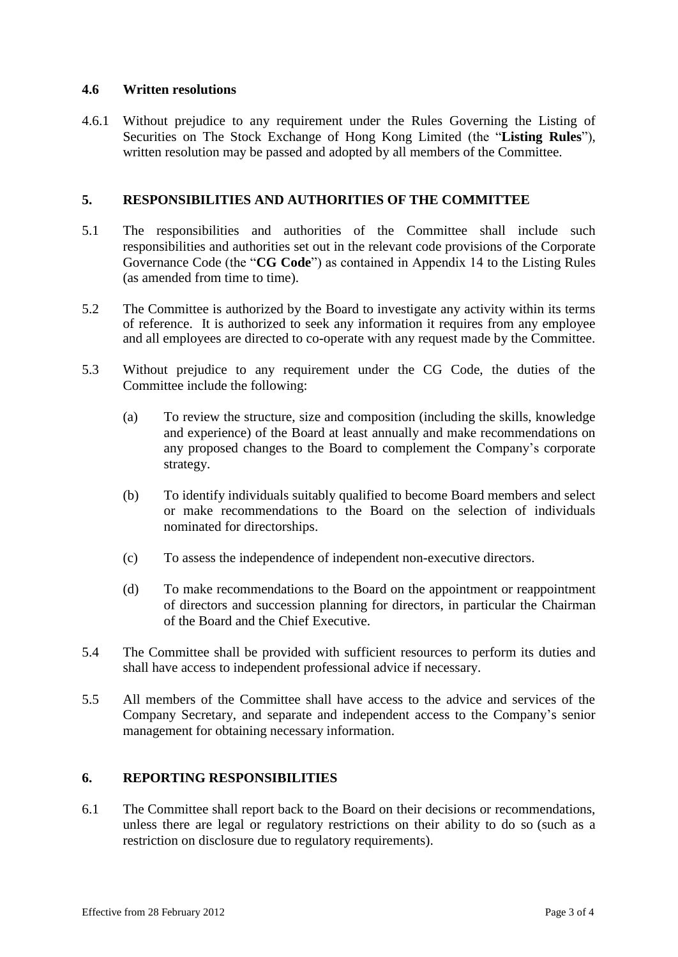### **4.6 Written resolutions**

4.6.1 Without prejudice to any requirement under the Rules Governing the Listing of Securities on The Stock Exchange of Hong Kong Limited (the "**Listing Rules**"), written resolution may be passed and adopted by all members of the Committee.

## **5. RESPONSIBILITIES AND AUTHORITIES OF THE COMMITTEE**

- 5.1 The responsibilities and authorities of the Committee shall include such responsibilities and authorities set out in the relevant code provisions of the Corporate Governance Code (the "**CG Code**") as contained in Appendix 14 to the Listing Rules (as amended from time to time).
- 5.2 The Committee is authorized by the Board to investigate any activity within its terms of reference. It is authorized to seek any information it requires from any employee and all employees are directed to co-operate with any request made by the Committee.
- 5.3 Without prejudice to any requirement under the CG Code, the duties of the Committee include the following:
	- (a) To review the structure, size and composition (including the skills, knowledge and experience) of the Board at least annually and make recommendations on any proposed changes to the Board to complement the Company's corporate strategy.
	- (b) To identify individuals suitably qualified to become Board members and select or make recommendations to the Board on the selection of individuals nominated for directorships.
	- (c) To assess the independence of independent non-executive directors.
	- (d) To make recommendations to the Board on the appointment or reappointment of directors and succession planning for directors, in particular the Chairman of the Board and the Chief Executive.
- 5.4 The Committee shall be provided with sufficient resources to perform its duties and shall have access to independent professional advice if necessary.
- 5.5 All members of the Committee shall have access to the advice and services of the Company Secretary, and separate and independent access to the Company's senior management for obtaining necessary information.

# **6. REPORTING RESPONSIBILITIES**

6.1 The Committee shall report back to the Board on their decisions or recommendations, unless there are legal or regulatory restrictions on their ability to do so (such as a restriction on disclosure due to regulatory requirements).